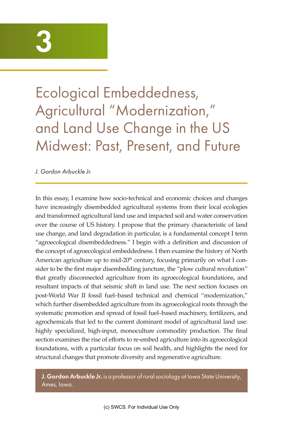# 3

Ecological Embeddedness, Agricultural "Modernization," and Land Use Change in the US Midwest: Past, Present, and Future

*J. Gordon Arbuckle Jr.*

In this essay, I examine how socio-technical and economic choices and changes have increasingly disembedded agricultural systems from their local ecologies and transformed agricultural land use and impacted soil and water conservation over the course of US history. I propose that the primary characteristic of land use change, and land degradation in particular, is a fundamental concept I term "agroecological disembeddedness." I begin with a definition and discussion of the concept of agroecological embeddedness. I then examine the history of North American agriculture up to mid-20<sup>th</sup> century, focusing primarily on what I consider to be the first major disembedding juncture, the "plow cultural revolution" that greatly disconnected agriculture from its agroecological foundations, and resultant impacts of that seismic shift in land use. The next section focuses on post-World War II fossil fuel–based technical and chemical "modernization," which further disembedded agriculture from its agroecological roots through the systematic promotion and spread of fossil fuel–based machinery, fertilizers, and agrochemicals that led to the current dominant model of agricultural land use: highly specialized, high-input, monoculture commodity production. The final section examines the rise of efforts to re-embed agriculture into its agroecological foundations, with a particular focus on soil health, and highlights the need for structural changes that promote diversity and regenerative agriculture.

J. Gordon Arbuckle Jr. is a professor of rural sociology at Iowa State University, Ames, Iowa.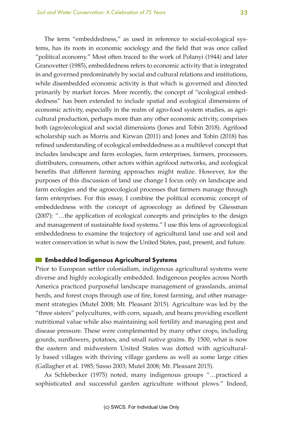The term "embeddedness," as used in reference to social-ecological systems, has its roots in economic sociology and the field that was once called "political economy." Most often traced to the work of Polanyi (1944) and later Granovetter (1985), embeddedness refers to economic activity that is integrated in and governed predominately by social and cultural relations and institutions, while disembedded economic activity is that which is governed and directed primarily by market forces. More recently, the concept of "ecological embeddedness" has been extended to include spatial and ecological dimensions of economic activity, especially in the realm of agro-food system studies, as agricultural production, perhaps more than any other economic activity, comprises both (agro)ecological and social dimensions (Jones and Tobin 2018). Agrifood scholarship such as Morris and Kirwan (2011) and Jones and Tobin (2018) has refined understanding of ecological embeddedness as a multilevel concept that includes landscape and farm ecologies, farm enterprises, farmers, processors, distributers, consumers, other actors within agrifood networks, and ecological benefits that different farming approaches might realize. However, for the purposes of this discussion of land use change I focus only on landscape and farm ecologies and the agroecological processes that farmers manage through farm enterprises. For this essay, I combine the political economic concept of embeddedness with the concept of agroecology as defined by Gliessman (2007): "…the application of ecological concepts and principles to the design and management of sustainable food systems." I use this lens of agroecological embeddedness to examine the trajectory of agricultural land use and soil and water conservation in what is now the United States, past, present, and future.

## **Embedded Indigenous Agricultural Systems**

Prior to European settler colonialism, indigenous agricultural systems were diverse and highly ecologically embedded. Indigenous peoples across North America practiced purposeful landscape management of grasslands, animal herds, and forest crops through use of fire, forest farming, and other management strategies (Mutel 2008; Mt. Pleasant 2015). Agriculture was led by the "three sisters" polycultures, with corn, squash, and beans providing excellent nutritional value while also maintaining soil fertility and managing pest and disease pressure. These were complemented by many other crops, including gourds, sunflowers, potatoes, and small native grains. By 1500, what is now the eastern and midwestern United States was dotted with agriculturally based villages with thriving village gardens as well as some large cities (Gallagher et al. 1985; Sasso 2003; Mutel 2008; Mt. Pleasant 2015).

As Schlebecker (1975) noted, many indigenous groups "…practiced a sophisticated and successful garden agriculture without plows." Indeed,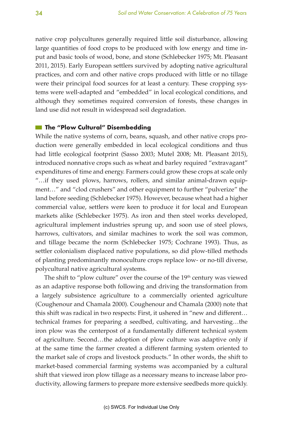native crop polycultures generally required little soil disturbance, allowing large quantities of food crops to be produced with low energy and time input and basic tools of wood, bone, and stone (Schlebecker 1975; Mt. Pleasant 2011, 2015). Early European settlers survived by adopting native agricultural practices, and corn and other native crops produced with little or no tillage were their principal food sources for at least a century. These cropping systems were well-adapted and "embedded" in local ecological conditions, and although they sometimes required conversion of forests, these changes in land use did not result in widespread soil degradation.

#### $\blacksquare$  The "Plow Cultural" Disembedding

While the native systems of corn, beans, squash, and other native crops production were generally embedded in local ecological conditions and thus had little ecological footprint (Sasso 2003; Mutel 2008; Mt. Pleasant 2015), introduced nonnative crops such as wheat and barley required "extravagant" expenditures of time and energy. Farmers could grow these crops at scale only "…if they used plows, harrows, rollers, and similar animal-drawn equipment…" and "clod crushers" and other equipment to further "pulverize" the land before seeding (Schlebecker 1975). However, because wheat had a higher commercial value, settlers were keen to produce it for local and European markets alike (Schlebecker 1975). As iron and then steel works developed, agricultural implement industries sprung up, and soon use of steel plows, harrows, cultivators, and similar machines to work the soil was common, and tillage became the norm (Schlebecker 1975; Cochrane 1993). Thus, as settler colonialism displaced native populations, so did plow-tilled methods of planting predominantly monoculture crops replace low- or no-till diverse, polycultural native agricultural systems.

The shift to "plow culture" over the course of the 19<sup>th</sup> century was viewed as an adaptive response both following and driving the transformation from a largely subsistence agriculture to a commercially oriented agriculture (Coughenour and Chamala 2000). Coughenour and Chamala (2000) note that this shift was radical in two respects: First, it ushered in "new and different… technical frames for preparing a seedbed, cultivating, and harvesting…the iron plow was the centerpost of a fundamentally different technical system of agriculture. Second…the adoption of plow culture was adaptive only if at the same time the farmer created a different farming system oriented to the market sale of crops and livestock products." In other words, the shift to market-based commercial farming systems was accompanied by a cultural shift that viewed iron plow tillage as a necessary means to increase labor productivity, allowing farmers to prepare more extensive seedbeds more quickly.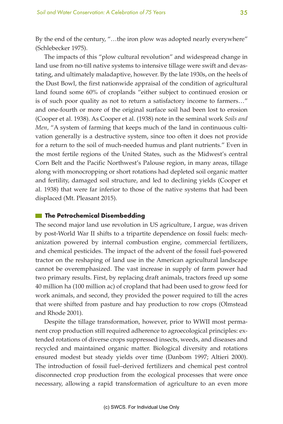By the end of the century, "…the iron plow was adopted nearly everywhere" (Schlebecker 1975).

The impacts of this "plow cultural revolution" and widespread change in land use from no-till native systems to intensive tillage were swift and devastating, and ultimately maladaptive, however. By the late 1930s, on the heels of the Dust Bowl, the first nationwide appraisal of the condition of agricultural land found some 60% of croplands "either subject to continued erosion or is of such poor quality as not to return a satisfactory income to farmers…" and one-fourth or more of the original surface soil had been lost to erosion (Cooper et al. 1938). As Cooper et al. (1938) note in the seminal work *Soils and Men*, "A system of farming that keeps much of the land in continuous cultivation generally is a destructive system, since too often it does not provide for a return to the soil of much-needed humus and plant nutrients." Even in the most fertile regions of the United States, such as the Midwest's central Corn Belt and the Pacific Northwest's Palouse region, in many areas, tillage along with monocropping or short rotations had depleted soil organic matter and fertility, damaged soil structure, and led to declining yields (Cooper et al. 1938) that were far inferior to those of the native systems that had been displaced (Mt. Pleasant 2015).

#### $\blacksquare$  The Petrochemical Disembedding

The second major land use revolution in US agriculture, I argue, was driven by post-World War II shifts to a tripartite dependence on fossil fuels: mechanization powered by internal combustion engine, commercial fertilizers, and chemical pesticides. The impact of the advent of the fossil fuel-powered tractor on the reshaping of land use in the American agricultural landscape cannot be overemphasized. The vast increase in supply of farm power had two primary results. First, by replacing draft animals, tractors freed up some 40 million ha (100 million ac) of cropland that had been used to grow feed for work animals, and second, they provided the power required to till the acres that were shifted from pasture and hay production to row crops (Olmstead and Rhode 2001).

Despite the tillage transformation, however, prior to WWII most permanent crop production still required adherence to agroecological principles: extended rotations of diverse crops suppressed insects, weeds, and diseases and recycled and maintained organic matter. Biological diversity and rotations ensured modest but steady yields over time (Danbom 1997; Altieri 2000). The introduction of fossil fuel–derived fertilizers and chemical pest control disconnected crop production from the ecological processes that were once necessary, allowing a rapid transformation of agriculture to an even more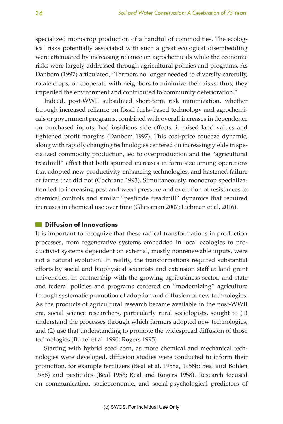specialized monocrop production of a handful of commodities. The ecological risks potentially associated with such a great ecological disembedding were attenuated by increasing reliance on agrochemicals while the economic risks were largely addressed through agricultural policies and programs. As Danbom (1997) articulated, "Farmers no longer needed to diversify carefully, rotate crops, or cooperate with neighbors to minimize their risks; thus, they imperiled the environment and contributed to community deterioration."

Indeed, post-WWII subsidized short-term risk minimization, whether through increased reliance on fossil fuels–based technology and agrochemicals or government programs, combined with overall increases in dependence on purchased inputs, had insidious side effects: it raised land values and tightened profit margins (Danbom 1997). This cost-price squeeze dynamic, along with rapidly changing technologies centered on increasing yields in specialized commodity production, led to overproduction and the "agricultural treadmill" effect that both spurred increases in farm size among operations that adopted new productivity-enhancing technologies, and hastened failure of farms that did not (Cochrane 1993). Simultaneously, monocrop specialization led to increasing pest and weed pressure and evolution of resistances to chemical controls and similar "pesticide treadmill" dynamics that required increases in chemical use over time (Gliessman 2007; Liebman et al. 2016).

# **Diffusion of Innovations**

It is important to recognize that these radical transformations in production processes, from regenerative systems embedded in local ecologies to productivist systems dependent on external, mostly nonrenewable inputs, were not a natural evolution. In reality, the transformations required substantial efforts by social and biophysical scientists and extension staff at land grant universities, in partnership with the growing agribusiness sector, and state and federal policies and programs centered on "modernizing" agriculture through systematic promotion of adoption and diffusion of new technologies. As the products of agricultural research became available in the post-WWII era, social science researchers, particularly rural sociologists, sought to (1) understand the processes through which farmers adopted new technologies, and (2) use that understanding to promote the widespread diffusion of those technologies (Buttel et al. 1990; Rogers 1995).

Starting with hybrid seed corn, as more chemical and mechanical technologies were developed, diffusion studies were conducted to inform their promotion, for example fertilizers (Beal et al. 1958a, 1958b; Beal and Bohlen 1958) and pesticides (Beal 1956; Beal and Rogers 1958). Research focused on communication, socioeconomic, and social-psychological predictors of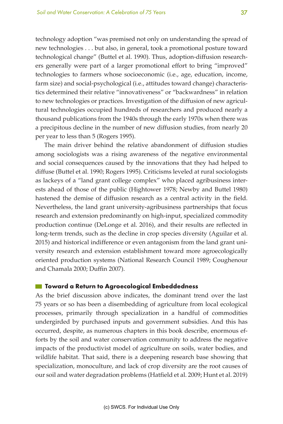technology adoption "was premised not only on understanding the spread of new technologies . . . but also, in general, took a promotional posture toward technological change" (Buttel et al. 1990). Thus, adoption-diffusion researchers generally were part of a larger promotional effort to bring "improved" technologies to farmers whose socioeconomic (i.e., age, education, income, farm size) and social-psychological (i.e., attitudes toward change) characteristics determined their relative "innovativeness" or "backwardness" in relation to new technologies or practices. Investigation of the diffusion of new agricultural technologies occupied hundreds of researchers and produced nearly a thousand publications from the 1940s through the early 1970s when there was a precipitous decline in the number of new diffusion studies, from nearly 20 per year to less than 5 (Rogers 1995).

The main driver behind the relative abandonment of diffusion studies among sociologists was a rising awareness of the negative environmental and social consequences caused by the innovations that they had helped to diffuse (Buttel et al. 1990; Rogers 1995). Criticisms leveled at rural sociologists as lackeys of a "land grant college complex" who placed agribusiness interests ahead of those of the public (Hightower 1978; Newby and Buttel 1980) hastened the demise of diffusion research as a central activity in the field. Nevertheless, the land grant university-agribusiness partnerships that focus research and extension predominantly on high-input, specialized commodity production continue (DeLonge et al. 2016), and their results are reflected in long-term trends, such as the decline in crop species diversity (Aguilar et al. 2015) and historical indifference or even antagonism from the land grant university research and extension establishment toward more agroecologically oriented production systems (National Research Council 1989; Coughenour and Chamala 2000; Duffin 2007).

## **Toward a Return to Agroecological Embeddedness**

As the brief discussion above indicates, the dominant trend over the last 75 years or so has been a disembedding of agriculture from local ecological processes, primarily through specialization in a handful of commodities undergirded by purchased inputs and government subsidies. And this has occurred, despite, as numerous chapters in this book describe, enormous efforts by the soil and water conservation community to address the negative impacts of the productivist model of agriculture on soils, water bodies, and wildlife habitat. That said, there is a deepening research base showing that specialization, monoculture, and lack of crop diversity are the root causes of our soil and water degradation problems (Hatfield et al. 2009; Hunt et al. 2019)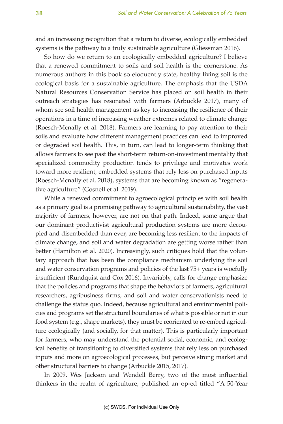and an increasing recognition that a return to diverse, ecologically embedded systems is the pathway to a truly sustainable agriculture (Gliessman 2016).

So how do we return to an ecologically embedded agriculture? I believe that a renewed commitment to soils and soil health is the cornerstone. As numerous authors in this book so eloquently state, healthy living soil is the ecological basis for a sustainable agriculture. The emphasis that the USDA Natural Resources Conservation Service has placed on soil health in their outreach strategies has resonated with farmers (Arbuckle 2017), many of whom see soil health management as key to increasing the resilience of their operations in a time of increasing weather extremes related to climate change (Roesch-Mcnally et al. 2018). Farmers are learning to pay attention to their soils and evaluate how different management practices can lead to improved or degraded soil health. This, in turn, can lead to longer-term thinking that allows farmers to see past the short-term return-on-investment mentality that specialized commodity production tends to privilege and motivates work toward more resilient, embedded systems that rely less on purchased inputs (Roesch-Mcnally et al. 2018), systems that are becoming known as "regenerative agriculture" (Gosnell et al. 2019).

While a renewed commitment to agroecological principles with soil health as a primary goal is a promising pathway to agricultural sustainability, the vast majority of farmers, however, are not on that path. Indeed, some argue that our dominant productivist agricultural production systems are more decoupled and disembedded than ever, are becoming less resilient to the impacts of climate change, and soil and water degradation are getting worse rather than better (Hamilton et al. 2020). Increasingly, such critiques hold that the voluntary approach that has been the compliance mechanism underlying the soil and water conservation programs and policies of the last 75+ years is woefully insufficient (Rundquist and Cox 2016). Invariably, calls for change emphasize that the policies and programs that shape the behaviors of farmers, agricultural researchers, agribusiness firms, and soil and water conservationists need to challenge the status quo. Indeed, because agricultural and environmental policies and programs set the structural boundaries of what is possible or not in our food system (e.g., shape markets), they must be reoriented to re-embed agriculture ecologically (and socially, for that matter). This is particularly important for farmers, who may understand the potential social, economic, and ecological benefits of transitioning to diversified systems that rely less on purchased inputs and more on agroecological processes, but perceive strong market and other structural barriers to change (Arbuckle 2015, 2017).

In 2009, Wes Jackson and Wendell Berry, two of the most influential thinkers in the realm of agriculture, published an op-ed titled "A 50-Year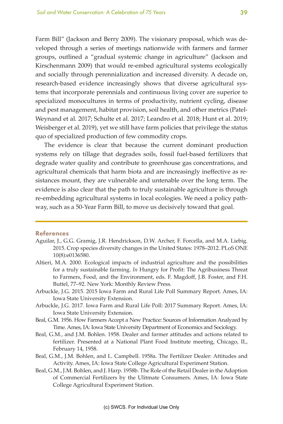Farm Bill" (Jackson and Berry 2009). The visionary proposal, which was developed through a series of meetings nationwide with farmers and farmer groups, outlined a "gradual systemic change in agriculture" (Jackson and Kirschenmann 2009) that would re-embed agricultural systems ecologically and socially through perennialization and increased diversity. A decade on, research-based evidence increasingly shows that diverse agricultural systems that incorporate perennials and continuous living cover are superior to specialized monocultures in terms of productivity, nutrient cycling, disease and pest management, habitat provision, soil health, and other metrics (Patel-Weynand et al. 2017; Schulte et al. 2017; Leandro et al. 2018; Hunt et al. 2019; Weisberger et al. 2019), yet we still have farm policies that privilege the status quo of specialized production of few commodity crops.

The evidence is clear that because the current dominant production systems rely on tillage that degrades soils, fossil fuel-based fertilizers that degrade water quality and contribute to greenhouse gas concentrations, and agricultural chemicals that harm biota and are increasingly ineffective as resistances mount, they are vulnerable and untenable over the long term. The evidence is also clear that the path to truly sustainable agriculture is through re-embedding agricultural systems in local ecologies. We need a policy pathway, such as a 50-Year Farm Bill, to move us decisively toward that goal.

#### **References**

- Aguilar, J., G.G. Gramig, J.R. Hendrickson, D.W. Archer, F. Forcella, and M.A. Liebig. 2015. Crop species diversity changes in the United States: 1978–2012. PLoS ONE 10(8):e0136580.
- Altieri, M.A. 2000. Ecological impacts of industrial agriculture and the possibilities for a truly sustainable farming. *In* Hungry for Profit: The Agribusiness Threat to Farmers, Food, and the Environment, eds. F. Magdoff, J.B. Foster, and F.H. Buttel, 77–92. New York: Monthly Review Press.
- Arbuckle, J.G. 2015. 2015 Iowa Farm and Rural Life Poll Summary Report. Ames, IA: Iowa State University Extension.
- Arbuckle, J.G. 2017. Iowa Farm and Rural Life Poll: 2017 Summary Report. Ames, IA: Iowa State University Extension.
- Beal, G.M. 1956. How Farmers Accept a New Practice: Sources of Information Analyzed by Time. Ames, IA: Iowa State University Department of Economics and Sociology.
- Beal, G.M., and J.M. Bohlen. 1958. Dealer and farmer attitudes and actions related to fertilizer. Presented at a National Plant Food Institute meeting, Chicago, IL, February 14, 1958.
- Beal, G.M., J.M. Bohlen, and L. Campbell. 1958a. The Fertilizer Dealer: Attitudes and Activity. Ames, IA: Iowa State College Agricultural Experiment Station.
- Beal, G.M., J.M. Bohlen, and J. Harp. 1958b. The Role of the Retail Dealer in the Adoption of Commercial Fertilizers by the Ulitmate Consumers. Ames, IA: Iowa State College Agricultural Experiment Station.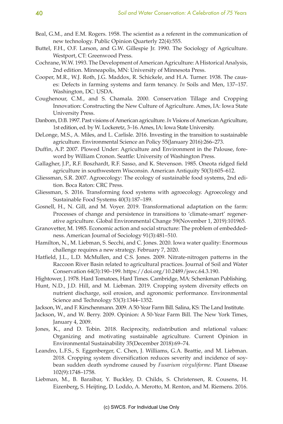- Beal, G.M., and E.M. Rogers. 1958. The scientist as a referent in the communication of new technology. Public Opinion Quarterly 22(4):555.
- Buttel, F.H., O.F. Larson, and G.W. Gillespie Jr. 1990. The Sociology of Agriculture. Westport, CT: Greenwood Press.
- Cochrane, W.W. 1993. The Development of American Agriculture: A Historical Analysis, 2nd edition. Minneapolis, MN: University of Minnesota Press.
- Cooper, M.R., W.J. Roth, J.G. Maddox, R. Schickele, and H.A. Turner. 1938. The causes: Defects in farming systems and farm tenancy. *In* Soils and Men, 137–157. Washington, DC: USDA.
- Coughenour, C.M., and S. Chamala. 2000. Conservation Tillage and Cropping Innovation: Constructing the New Culture of Agriculture. Ames, IA: Iowa State University Press.
- Danbom, D.B. 1997. Past visions of American agriculture. *In* Visions of American Agriculture, 1st edition, ed. by W. Lockeretz, 3–16. Ames, IA: Iowa State University.
- DeLonge, M.S., A. Miles, and L. Carlisle. 2016. Investing in the transition to sustainable agriculture. Environmental Science an Policy 55(January 2016):266–273.
- Duffin, A.P. 2007. Plowed Under: Agriculture and Environment in the Palouse, foreword by William Cronon. Seattle: University of Washington Press.
- Gallagher, J.P., R.F. Boszhardt, R.F. Sasso, and K. Stevenson. 1985. Oneota ridged field agriculture in southwestern Wisconsin. American Antiquity 50(3):605–612.
- Gliessman, S.R. 2007. Agroecology: The ecology of sustainable food systems, 2nd edition. Boca Raton: CRC Press.
- Gliessman, S. 2016. Transforming food systems with agroecology. Agroecology and Sustainable Food Systems 40(3):187–189.
- Gosnell, H., N. Gill, and M. Voyer. 2019. Transformational adaptation on the farm: Processes of change and persistence in transitions to 'climate-smart' regenerative agriculture. Global Environmental Change 59(November 1, 2019):101965.
- Granovetter, M. 1985. Economic action and social structure: The problem of embeddedness. American Journal of Sociology 91(3):481–510.
- Hamilton, N., M. Liebman, S. Secchi, and C. Jones. 2020. Iowa water quality: Enormous challenge requires a new strategy. February 7, 2020.
- Hatfield, J.L., L.D. McMullen, and C.S. Jones. 2009. Nitrate-nitrogen patterns in the Raccoon River Basin related to agricultural practices. Journal of Soil and Water Conservation 64(3):190–199. https://doi.org/10.2489/jswc.64.3.190.
- Hightower, J. 1978. Hard Tomatoes, Hard Times. Cambridge, MA: Schenkman Publishing.
- Hunt, N.D., J.D. Hill, and M. Liebman. 2019. Cropping system diversity effects on nutrient discharge, soil erosion, and agronomic performance. Environmental Science and Technology 53(3):1344–1352.
- Jackson, W., and F. Kirschenmann. 2009. A 50-Year Farm Bill. Salina, KS: The Land Institute.
- Jackson, W., and W. Berry. 2009. Opinion: A 50-Year Farm Bill. The New York Times, January 4, 2009.
- Jones, K., and D. Tobin. 2018. Reciprocity, redistribution and relational values: Organizing and motivating sustainable agriculture. Current Opinion in Environmental Sustainability 35(December 2018):69–74.
- Leandro, L.F.S., S. Eggenberger, C. Chen, J. Williams, G.A. Beattie, and M. Liebman. 2018. Cropping system diversification reduces severity and incidence of soybean sudden death syndrome caused by *Fusarium virguliforme*. Plant Disease 102(9):1748–1758.
- Liebman, M., B. Baraibar, Y. Buckley, D. Childs, S. Christensen, R. Cousens, H. Eizenberg, S. Heijting, D. Loddo, A. Merotto, M. Renton, and M. Riemens. 2016.